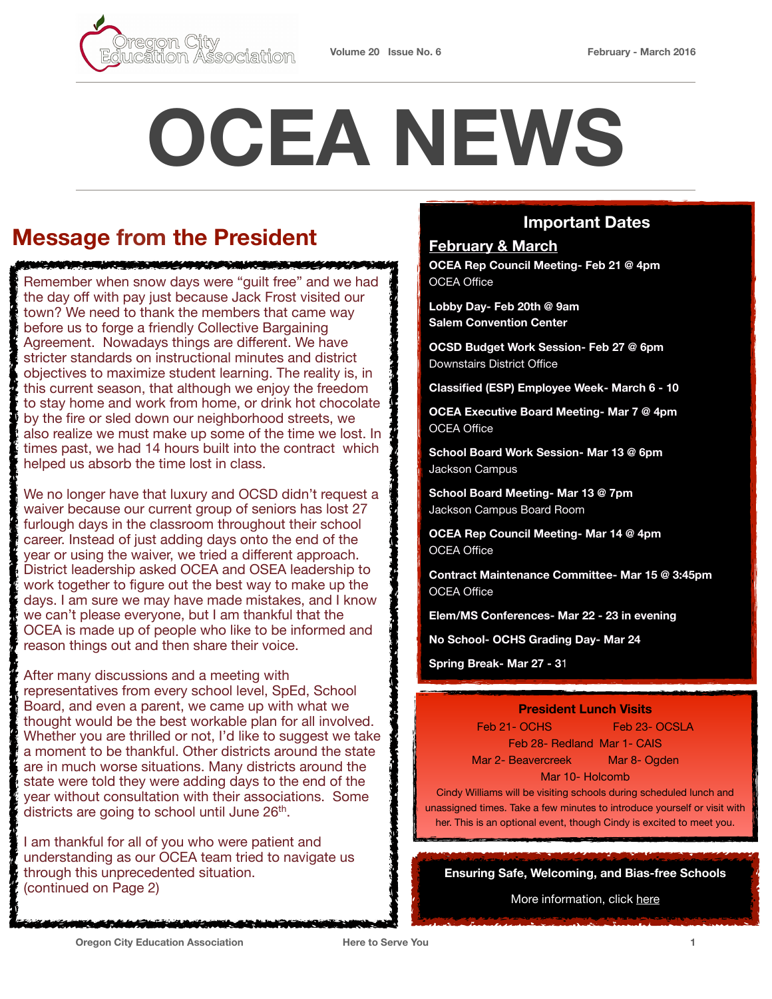

# **OCEA NEWS**

# **Message from the President**

Remember when snow days were "guilt free" and we had the day off with pay just because Jack Frost visited our town? We need to thank the members that came way before us to forge a friendly Collective Bargaining Agreement. Nowadays things are different. We have stricter standards on instructional minutes and district objectives to maximize student learning. The reality is, in this current season, that although we enjoy the freedom to stay home and work from home, or drink hot chocolate by the fire or sled down our neighborhood streets, we also realize we must make up some of the time we lost. In times past, we had 14 hours built into the contract which helped us absorb the time lost in class.

<u> KANAN ANG KAMAMATING PANGANGAN ANG KAPA</u>

We no longer have that luxury and OCSD didn't request a waiver because our current group of seniors has lost 27 furlough days in the classroom throughout their school career. Instead of just adding days onto the end of the year or using the waiver, we tried a different approach. District leadership asked OCEA and OSEA leadership to work together to figure out the best way to make up the days. I am sure we may have made mistakes, and I know we can't please everyone, but I am thankful that the OCEA is made up of people who like to be informed and reason things out and then share their voice.

After many discussions and a meeting with representatives from every school level, SpEd, School Board, and even a parent, we came up with what we thought would be the best workable plan for all involved. Whether you are thrilled or not. I'd like to suggest we take a moment to be thankful. Other districts around the state are in much worse situations. Many districts around the state were told they were adding days to the end of the year without consultation with their associations. Some districts are going to school until June 26<sup>th</sup>.

I am thankful for all of you who were patient and understanding as our OCEA team tried to navigate us through this unprecedented situation. (continued on Page 2)

#### **Important Dates**

### **February & March OCEA Rep Council Meeting- Feb 21 @ 4pm**

OCEA Office

**Lobby Day- Feb 20th @ 9am Salem Convention Center** 

**OCSD Budget Work Session- Feb 27 @ 6pm**  Downstairs District Office

**Classified (ESP) Employee Week- March 6 - 10** 

**OCEA Executive Board Meeting- Mar 7 @ 4pm**  OCEA Office

**School Board Work Session- Mar 13 @ 6pm**  Jackson Campus

**School Board Meeting- Mar 13 @ 7pm**  Jackson Campus Board Room

**OCEA Rep Council Meeting- Mar 14 @ 4pm**  OCEA Office

**Contract Maintenance Committee- Mar 15 @ 3:45pm**  OCEA Office

**Elem/MS Conferences- Mar 22 - 23 in evening** 

**No School- OCHS Grading Day- Mar 24** 

**Spring Break- Mar 27 - 3**1

#### **President Lunch Visits**

Feb 21 - OCHS
Feb 21 - OCHS
Feb 23 - OCSLA Feb 28- Redland Mar 1- CAIS Mar 2- Beavercreek Mar 8- Ogden Mar 10- Holcomb

Cindy Williams will be visiting schools during scheduled lunch and unassigned times. Take a few minutes to introduce yourself or visit with her. This is an optional event, though Cindy is excited to meet you.

**Ensuring Safe, Welcoming, and Bias-free Schools** 

More information, click [here](https://www.oregoned.org/whats-new/ensuring-safe-welcoming-and-bias-free-schools)